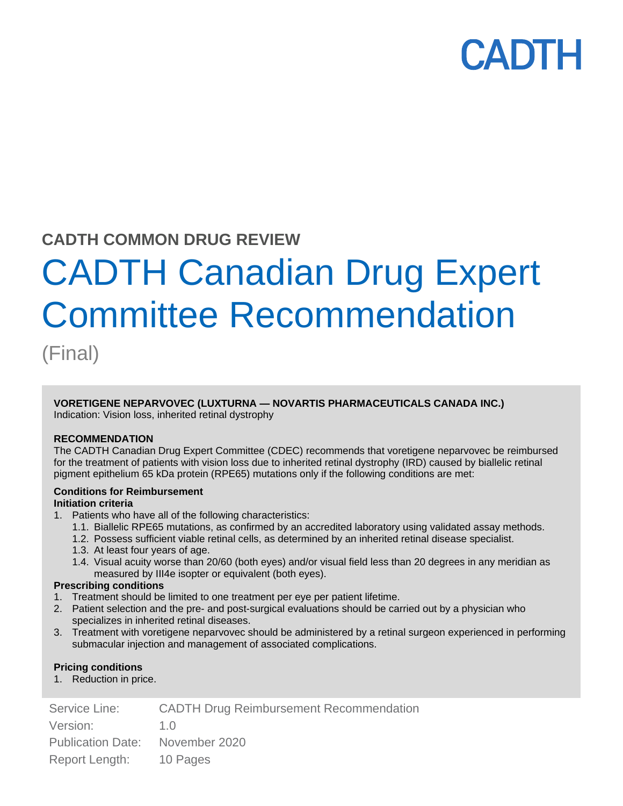## **CADTH COMMON DRUG REVIEW**

# CADTH Canadian Drug Expert Committee Recommendation

(Final)

## **VORETIGENE NEPARVOVEC (LUXTURNA — NOVARTIS PHARMACEUTICALS CANADA INC.)**

Indication: Vision loss, inherited retinal dystrophy

#### **RECOMMENDATION**

The CADTH Canadian Drug Expert Committee (CDEC) recommends that voretigene neparvovec be reimbursed for the treatment of patients with vision loss due to inherited retinal dystrophy (IRD) caused by biallelic retinal pigment epithelium 65 kDa protein (RPE65) mutations only if the following conditions are met:

### **Conditions for Reimbursement**

#### **Initiation criteria**

- 1. Patients who have all of the following characteristics:
	- 1.1. Biallelic RPE65 mutations, as confirmed by an accredited laboratory using validated assay methods.
	- 1.2. Possess sufficient viable retinal cells, as determined by an inherited retinal disease specialist.
	- 1.3. At least four years of age.
	- 1.4. Visual acuity worse than 20/60 (both eyes) and/or visual field less than 20 degrees in any meridian as measured by III4e isopter or equivalent (both eyes).

#### **Prescribing conditions**

- 1. Treatment should be limited to one treatment per eye per patient lifetime.
- 2. Patient selection and the pre- and post-surgical evaluations should be carried out by a physician who specializes in inherited retinal diseases.
- 3. Treatment with voretigene neparvovec should be administered by a retinal surgeon experienced in performing submacular injection and management of associated complications.

#### **Pricing conditions**

1. Reduction in price.

| Service Line:                   | <b>CADTH Drug Reimbursement Recommendation</b> |
|---------------------------------|------------------------------------------------|
| Version:                        | 1 Q                                            |
| Publication Date: November 2020 |                                                |
| Report Length: 10 Pages         |                                                |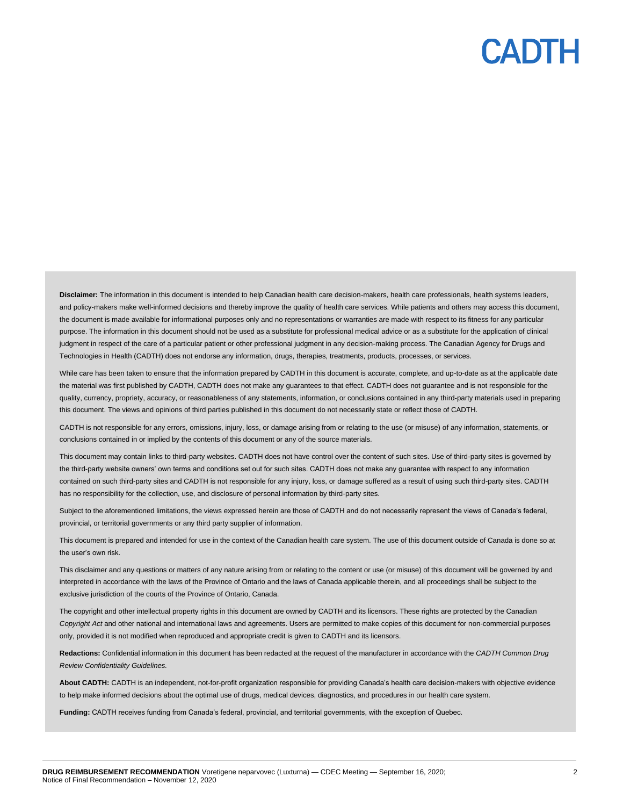Disclaimer: The information in this document is intended to help Canadian health care decision-makers, health care professionals, health systems leaders, and policy-makers make well-informed decisions and thereby improve the quality of health care services. While patients and others may access this document, the document is made available for informational purposes only and no representations or warranties are made with respect to its fitness for any particular purpose. The information in this document should not be used as a substitute for professional medical advice or as a substitute for the application of clinical judgment in respect of the care of a particular patient or other professional judgment in any decision-making process. The Canadian Agency for Drugs and Technologies in Health (CADTH) does not endorse any information, drugs, therapies, treatments, products, processes, or services.

While care has been taken to ensure that the information prepared by CADTH in this document is accurate, complete, and up-to-date as at the applicable date the material was first published by CADTH, CADTH does not make any guarantees to that effect. CADTH does not guarantee and is not responsible for the quality, currency, propriety, accuracy, or reasonableness of any statements, information, or conclusions contained in any third-party materials used in preparing this document. The views and opinions of third parties published in this document do not necessarily state or reflect those of CADTH.

CADTH is not responsible for any errors, omissions, injury, loss, or damage arising from or relating to the use (or misuse) of any information, statements, or conclusions contained in or implied by the contents of this document or any of the source materials.

This document may contain links to third-party websites. CADTH does not have control over the content of such sites. Use of third-party sites is governed by the third-party website owners' own terms and conditions set out for such sites. CADTH does not make any guarantee with respect to any information contained on such third-party sites and CADTH is not responsible for any injury, loss, or damage suffered as a result of using such third-party sites. CADTH has no responsibility for the collection, use, and disclosure of personal information by third-party sites.

Subject to the aforementioned limitations, the views expressed herein are those of CADTH and do not necessarily represent the views of Canada's federal, provincial, or territorial governments or any third party supplier of information.

This document is prepared and intended for use in the context of the Canadian health care system. The use of this document outside of Canada is done so at the user's own risk.

This disclaimer and any questions or matters of any nature arising from or relating to the content or use (or misuse) of this document will be governed by and interpreted in accordance with the laws of the Province of Ontario and the laws of Canada applicable therein, and all proceedings shall be subject to the exclusive jurisdiction of the courts of the Province of Ontario, Canada.

The copyright and other intellectual property rights in this document are owned by CADTH and its licensors. These rights are protected by the Canadian *Copyright Act* and other national and international laws and agreements. Users are permitted to make copies of this document for non-commercial purposes only, provided it is not modified when reproduced and appropriate credit is given to CADTH and its licensors.

**Redactions:** Confidential information in this document has been redacted at the request of the manufacturer in accordance with the *CADTH Common Drug Review Confidentiality Guidelines.*

**About CADTH:** CADTH is an independent, not-for-profit organization responsible for providing Canada's health care decision-makers with objective evidence to help make informed decisions about the optimal use of drugs, medical devices, diagnostics, and procedures in our health care system.

**Funding:** CADTH receives funding from Canada's federal, provincial, and territorial governments, with the exception of Quebec.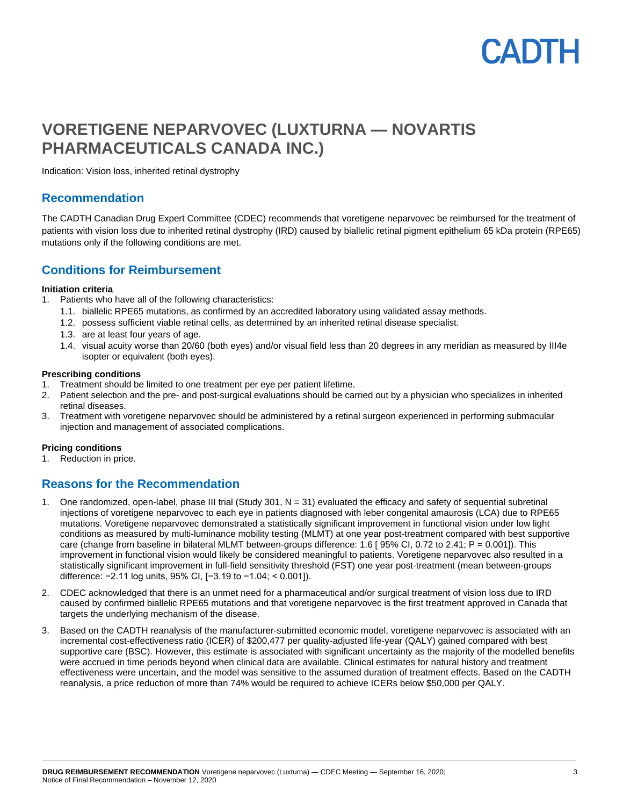## PADTH

## **VORETIGENE NEPARVOVEC (LUXTURNA — NOVARTIS PHARMACEUTICALS CANADA INC.)**

Indication: Vision loss, inherited retinal dystrophy

### **Recommendation**

The CADTH Canadian Drug Expert Committee (CDEC) recommends that voretigene neparvovec be reimbursed for the treatment of patients with vision loss due to inherited retinal dystrophy (IRD) caused by biallelic retinal pigment epithelium 65 kDa protein (RPE65) mutations only if the following conditions are met.

### **Conditions for Reimbursement**

#### **Initiation criteria**

- 1. Patients who have all of the following characteristics:
	- 1.1. biallelic RPE65 mutations, as confirmed by an accredited laboratory using validated assay methods.
	- 1.2. possess sufficient viable retinal cells, as determined by an inherited retinal disease specialist.
	- 1.3. are at least four years of age.
	- 1.4. visual acuity worse than 20/60 (both eyes) and/or visual field less than 20 degrees in any meridian as measured by III4e isopter or equivalent (both eyes).

#### **Prescribing conditions**

- 1. Treatment should be limited to one treatment per eye per patient lifetime.
- 2. Patient selection and the pre- and post-surgical evaluations should be carried out by a physician who specializes in inherited retinal diseases.
- 3. Treatment with voretigene neparvovec should be administered by a retinal surgeon experienced in performing submacular injection and management of associated complications.

#### **Pricing conditions**

1. Reduction in price.

## **Reasons for the Recommendation**

- 1. One randomized, open-label, phase III trial (Study 301, N = 31) evaluated the efficacy and safety of sequential subretinal injections of voretigene neparvovec to each eye in patients diagnosed with leber congenital amaurosis (LCA) due to RPE65 mutations. Voretigene neparvovec demonstrated a statistically significant improvement in functional vision under low light conditions as measured by multi-luminance mobility testing (MLMT) at one year post-treatment compared with best supportive care (change from baseline in bilateral MLMT between-groups difference: 1.6 [ 95% CI, 0.72 to 2.41; P = 0.001]). This improvement in functional vision would likely be considered meaningful to patients. Voretigene neparvovec also resulted in a statistically significant improvement in full-field sensitivity threshold (FST) one year post-treatment (mean between-groups difference: −2.11 log units, 95% CI, [−3.19 to −1.04; < 0.001]).
- 2. CDEC acknowledged that there is an unmet need for a pharmaceutical and/or surgical treatment of vision loss due to IRD caused by confirmed biallelic RPE65 mutations and that voretigene neparvovec is the first treatment approved in Canada that targets the underlying mechanism of the disease.
- 3. Based on the CADTH reanalysis of the manufacturer-submitted economic model, voretigene neparvovec is associated with an incremental cost-effectiveness ratio (ICER) of \$200,477 per quality-adjusted life-year (QALY) gained compared with best supportive care (BSC). However, this estimate is associated with significant uncertainty as the majority of the modelled benefits were accrued in time periods beyond when clinical data are available. Clinical estimates for natural history and treatment effectiveness were uncertain, and the model was sensitive to the assumed duration of treatment effects. Based on the CADTH reanalysis, a price reduction of more than 74% would be required to achieve ICERs below \$50,000 per QALY.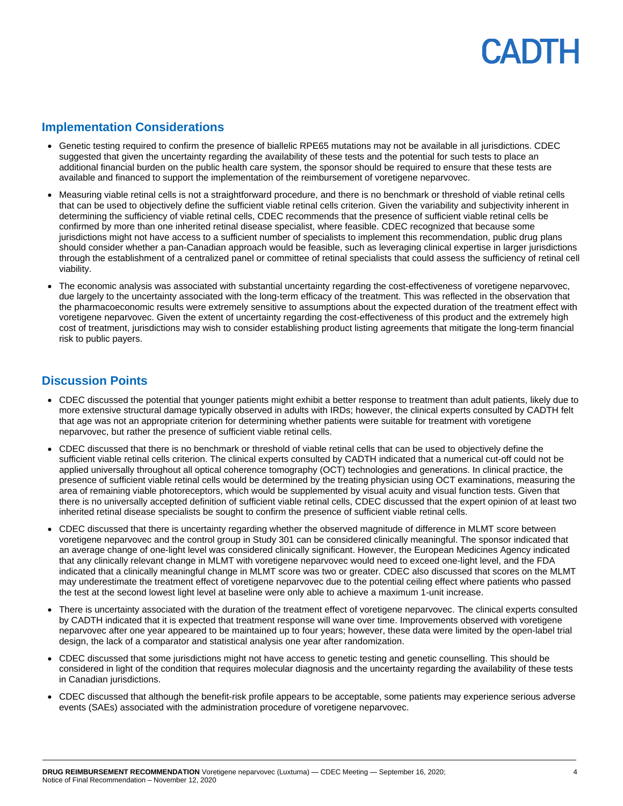### **Implementation Considerations**

- Genetic testing required to confirm the presence of biallelic RPE65 mutations may not be available in all jurisdictions. CDEC suggested that given the uncertainty regarding the availability of these tests and the potential for such tests to place an additional financial burden on the public health care system, the sponsor should be required to ensure that these tests are available and financed to support the implementation of the reimbursement of voretigene neparvovec.
- Measuring viable retinal cells is not a straightforward procedure, and there is no benchmark or threshold of viable retinal cells that can be used to objectively define the sufficient viable retinal cells criterion. Given the variability and subjectivity inherent in determining the sufficiency of viable retinal cells, CDEC recommends that the presence of sufficient viable retinal cells be confirmed by more than one inherited retinal disease specialist, where feasible. CDEC recognized that because some jurisdictions might not have access to a sufficient number of specialists to implement this recommendation, public drug plans should consider whether a pan-Canadian approach would be feasible, such as leveraging clinical expertise in larger jurisdictions through the establishment of a centralized panel or committee of retinal specialists that could assess the sufficiency of retinal cell viability.
- The economic analysis was associated with substantial uncertainty regarding the cost-effectiveness of voretigene neparvovec, due largely to the uncertainty associated with the long-term efficacy of the treatment. This was reflected in the observation that the pharmacoeconomic results were extremely sensitive to assumptions about the expected duration of the treatment effect with voretigene neparvovec. Given the extent of uncertainty regarding the cost-effectiveness of this product and the extremely high cost of treatment, jurisdictions may wish to consider establishing product listing agreements that mitigate the long-term financial risk to public payers.

## **Discussion Points**

- CDEC discussed the potential that younger patients might exhibit a better response to treatment than adult patients, likely due to more extensive structural damage typically observed in adults with IRDs; however, the clinical experts consulted by CADTH felt that age was not an appropriate criterion for determining whether patients were suitable for treatment with voretigene neparvovec, but rather the presence of sufficient viable retinal cells.
- CDEC discussed that there is no benchmark or threshold of viable retinal cells that can be used to objectively define the sufficient viable retinal cells criterion. The clinical experts consulted by CADTH indicated that a numerical cut-off could not be applied universally throughout all optical coherence tomography (OCT) technologies and generations. In clinical practice, the presence of sufficient viable retinal cells would be determined by the treating physician using OCT examinations, measuring the area of remaining viable photoreceptors, which would be supplemented by visual acuity and visual function tests. Given that there is no universally accepted definition of sufficient viable retinal cells, CDEC discussed that the expert opinion of at least two inherited retinal disease specialists be sought to confirm the presence of sufficient viable retinal cells.
- CDEC discussed that there is uncertainty regarding whether the observed magnitude of difference in MLMT score between voretigene neparvovec and the control group in Study 301 can be considered clinically meaningful. The sponsor indicated that an average change of one-light level was considered clinically significant. However, the European Medicines Agency indicated that any clinically relevant change in MLMT with voretigene neparvovec would need to exceed one-light level, and the FDA indicated that a clinically meaningful change in MLMT score was two or greater. CDEC also discussed that scores on the MLMT may underestimate the treatment effect of voretigene neparvovec due to the potential ceiling effect where patients who passed the test at the second lowest light level at baseline were only able to achieve a maximum 1-unit increase.
- There is uncertainty associated with the duration of the treatment effect of voretigene neparvovec. The clinical experts consulted by CADTH indicated that it is expected that treatment response will wane over time. Improvements observed with voretigene neparvovec after one year appeared to be maintained up to four years; however, these data were limited by the open-label trial design, the lack of a comparator and statistical analysis one year after randomization.
- CDEC discussed that some jurisdictions might not have access to genetic testing and genetic counselling. This should be considered in light of the condition that requires molecular diagnosis and the uncertainty regarding the availability of these tests in Canadian jurisdictions.
- CDEC discussed that although the benefit-risk profile appears to be acceptable, some patients may experience serious adverse events (SAEs) associated with the administration procedure of voretigene neparvovec.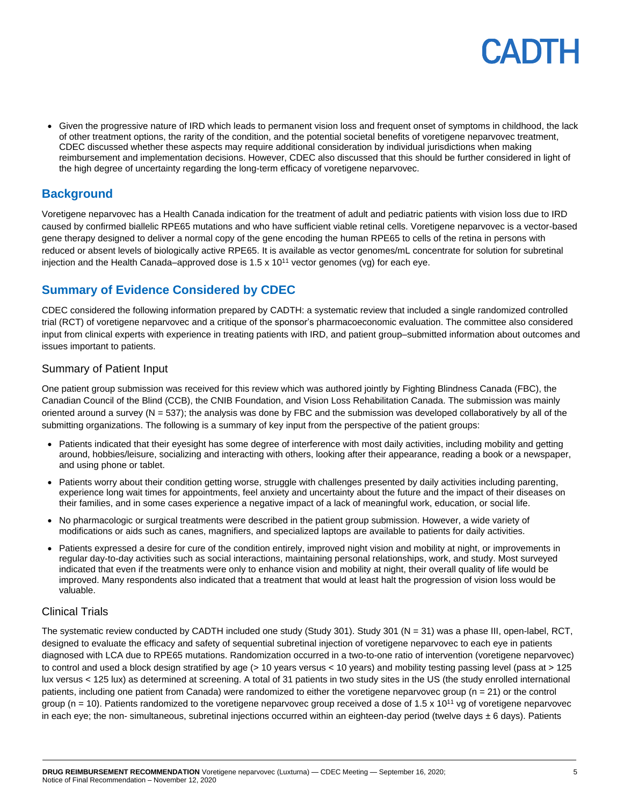• Given the progressive nature of IRD which leads to permanent vision loss and frequent onset of symptoms in childhood, the lack of other treatment options, the rarity of the condition, and the potential societal benefits of voretigene neparvovec treatment, CDEC discussed whether these aspects may require additional consideration by individual jurisdictions when making reimbursement and implementation decisions. However, CDEC also discussed that this should be further considered in light of the high degree of uncertainty regarding the long-term efficacy of voretigene neparvovec.

## **Background**

Voretigene neparvovec has a Health Canada indication for the treatment of adult and pediatric patients with vision loss due to IRD caused by confirmed biallelic RPE65 mutations and who have sufficient viable retinal cells. Voretigene neparvovec is a vector-based gene therapy designed to deliver a normal copy of the gene encoding the human RPE65 to cells of the retina in persons with reduced or absent levels of biologically active RPE65. It is available as vector genomes/mL concentrate for solution for subretinal injection and the Health Canada–approved dose is  $1.5 \times 10^{11}$  vector genomes (vg) for each eye.

## **Summary of Evidence Considered by CDEC**

CDEC considered the following information prepared by CADTH: a systematic review that included a single randomized controlled trial (RCT) of voretigene neparvovec and a critique of the sponsor's pharmacoeconomic evaluation. The committee also considered input from clinical experts with experience in treating patients with IRD, and patient group–submitted information about outcomes and issues important to patients.

### Summary of Patient Input

One patient group submission was received for this review which was authored jointly by Fighting Blindness Canada (FBC), the Canadian Council of the Blind (CCB), the CNIB Foundation, and Vision Loss Rehabilitation Canada. The submission was mainly oriented around a survey ( $N = 537$ ); the analysis was done by FBC and the submission was developed collaboratively by all of the submitting organizations. The following is a summary of key input from the perspective of the patient groups:

- Patients indicated that their evesight has some degree of interference with most daily activities, including mobility and getting around, hobbies/leisure, socializing and interacting with others, looking after their appearance, reading a book or a newspaper, and using phone or tablet.
- Patients worry about their condition getting worse, struggle with challenges presented by daily activities including parenting, experience long wait times for appointments, feel anxiety and uncertainty about the future and the impact of their diseases on their families, and in some cases experience a negative impact of a lack of meaningful work, education, or social life.
- No pharmacologic or surgical treatments were described in the patient group submission. However, a wide variety of modifications or aids such as canes, magnifiers, and specialized laptops are available to patients for daily activities.
- Patients expressed a desire for cure of the condition entirely, improved night vision and mobility at night, or improvements in regular day-to-day activities such as social interactions, maintaining personal relationships, work, and study. Most surveyed indicated that even if the treatments were only to enhance vision and mobility at night, their overall quality of life would be improved. Many respondents also indicated that a treatment that would at least halt the progression of vision loss would be valuable.

### Clinical Trials

The systematic review conducted by CADTH included one study (Study 301). Study 301 (N = 31) was a phase III, open-label, RCT, designed to evaluate the efficacy and safety of sequential subretinal injection of voretigene neparvovec to each eye in patients diagnosed with LCA due to RPE65 mutations. Randomization occurred in a two-to-one ratio of intervention (voretigene neparvovec) to control and used a block design stratified by age (> 10 years versus < 10 years) and mobility testing passing level (pass at > 125 lux versus < 125 lux) as determined at screening. A total of 31 patients in two study sites in the US (the study enrolled international patients, including one patient from Canada) were randomized to either the voretigene neparvovec group (n = 21) or the control group ( $n = 10$ ). Patients randomized to the voretigene neparvovec group received a dose of 1.5 x 10<sup>11</sup> vg of voretigene neparvovec in each eye; the non- simultaneous, subretinal injections occurred within an eighteen-day period (twelve days ± 6 days). Patients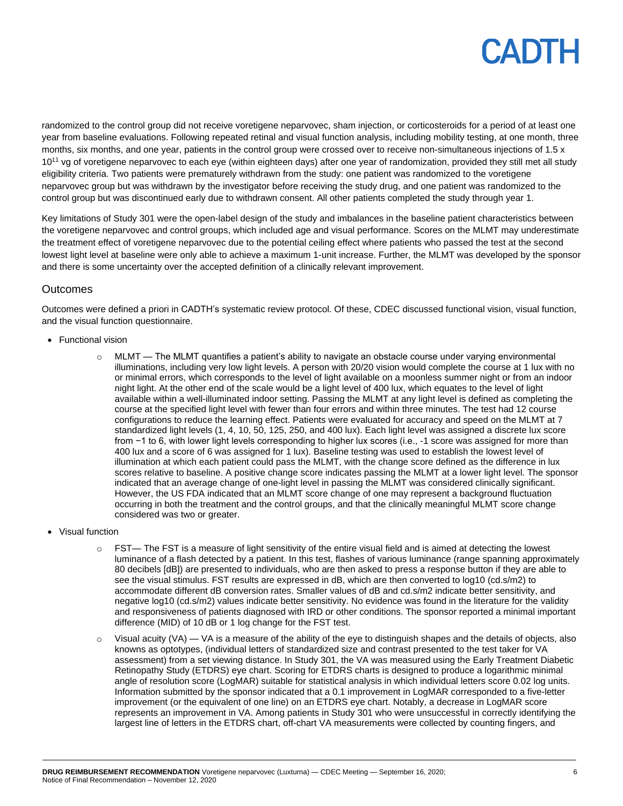randomized to the control group did not receive voretigene neparvovec, sham injection, or corticosteroids for a period of at least one year from baseline evaluations. Following repeated retinal and visual function analysis, including mobility testing, at one month, three months, six months, and one year, patients in the control group were crossed over to receive non-simultaneous injections of 1.5 x 10<sup>11</sup> vg of voretigene neparvovec to each eye (within eighteen days) after one year of randomization, provided they still met all study eligibility criteria. Two patients were prematurely withdrawn from the study: one patient was randomized to the voretigene neparvovec group but was withdrawn by the investigator before receiving the study drug, and one patient was randomized to the control group but was discontinued early due to withdrawn consent. All other patients completed the study through year 1.

Key limitations of Study 301 were the open-label design of the study and imbalances in the baseline patient characteristics between the voretigene neparvovec and control groups, which included age and visual performance. Scores on the MLMT may underestimate the treatment effect of voretigene neparvovec due to the potential ceiling effect where patients who passed the test at the second lowest light level at baseline were only able to achieve a maximum 1-unit increase. Further, the MLMT was developed by the sponsor and there is some uncertainty over the accepted definition of a clinically relevant improvement.

### **Outcomes**

Outcomes were defined a priori in CADTH's systematic review protocol. Of these, CDEC discussed functional vision, visual function, and the visual function questionnaire.

- Functional vision
	- $\circ$  MLMT The MLMT quantifies a patient's ability to navigate an obstacle course under varying environmental illuminations, including very low light levels. A person with 20/20 vision would complete the course at 1 lux with no or minimal errors, which corresponds to the level of light available on a moonless summer night or from an indoor night light. At the other end of the scale would be a light level of 400 lux, which equates to the level of light available within a well-illuminated indoor setting. Passing the MLMT at any light level is defined as completing the course at the specified light level with fewer than four errors and within three minutes. The test had 12 course configurations to reduce the learning effect. Patients were evaluated for accuracy and speed on the MLMT at 7 standardized light levels (1, 4, 10, 50, 125, 250, and 400 lux). Each light level was assigned a discrete lux score from −1 to 6, with lower light levels corresponding to higher lux scores (i.e., -1 score was assigned for more than 400 lux and a score of 6 was assigned for 1 lux). Baseline testing was used to establish the lowest level of illumination at which each patient could pass the MLMT, with the change score defined as the difference in lux scores relative to baseline. A positive change score indicates passing the MLMT at a lower light level. The sponsor indicated that an average change of one-light level in passing the MLMT was considered clinically significant. However, the US FDA indicated that an MLMT score change of one may represent a background fluctuation occurring in both the treatment and the control groups, and that the clinically meaningful MLMT score change considered was two or greater.
- Visual function
	- $\circ$  FST— The FST is a measure of light sensitivity of the entire visual field and is aimed at detecting the lowest luminance of a flash detected by a patient. In this test, flashes of various luminance (range spanning approximately 80 decibels [dB]) are presented to individuals, who are then asked to press a response button if they are able to see the visual stimulus. FST results are expressed in dB, which are then converted to log10 (cd.s/m2) to accommodate different dB conversion rates. Smaller values of dB and cd.s/m2 indicate better sensitivity, and negative log10 (cd.s/m2) values indicate better sensitivity. No evidence was found in the literature for the validity and responsiveness of patients diagnosed with IRD or other conditions. The sponsor reported a minimal important difference (MID) of 10 dB or 1 log change for the FST test.
	- $\circ$  Visual acuity (VA) VA is a measure of the ability of the eye to distinguish shapes and the details of objects, also knowns as optotypes, (individual letters of standardized size and contrast presented to the test taker for VA assessment) from a set viewing distance. In Study 301, the VA was measured using the Early Treatment Diabetic Retinopathy Study (ETDRS) eye chart. Scoring for ETDRS charts is designed to produce a logarithmic minimal angle of resolution score (LogMAR) suitable for statistical analysis in which individual letters score 0.02 log units. Information submitted by the sponsor indicated that a 0.1 improvement in LogMAR corresponded to a five-letter improvement (or the equivalent of one line) on an ETDRS eye chart. Notably, a decrease in LogMAR score represents an improvement in VA. Among patients in Study 301 who were unsuccessful in correctly identifying the largest line of letters in the ETDRS chart, off-chart VA measurements were collected by counting fingers, and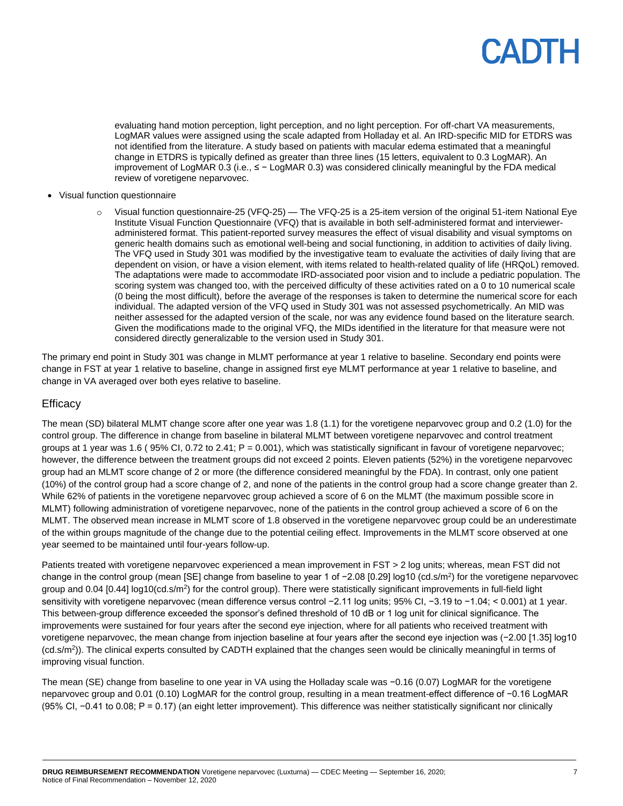evaluating hand motion perception, light perception, and no light perception. For off-chart VA measurements, LogMAR values were assigned using the scale adapted from Holladay et al. An IRD-specific MID for ETDRS was not identified from the literature. A study based on patients with macular edema estimated that a meaningful change in ETDRS is typically defined as greater than three lines (15 letters, equivalent to 0.3 LogMAR). An improvement of LogMAR 0.3 (i.e., ≤ − LogMAR 0.3) was considered clinically meaningful by the FDA medical review of voretigene neparvovec.

- Visual function questionnaire
	- Visual function questionnaire-25 (VFQ-25) The VFQ-25 is a 25-item version of the original 51-item National Eye Institute Visual Function Questionnaire (VFQ) that is available in both self-administered format and intervieweradministered format. This patient-reported survey measures the effect of visual disability and visual symptoms on generic health domains such as emotional well-being and social functioning, in addition to activities of daily living. The VFQ used in Study 301 was modified by the investigative team to evaluate the activities of daily living that are dependent on vision, or have a vision element, with items related to health-related quality of life (HRQoL) removed. The adaptations were made to accommodate IRD-associated poor vision and to include a pediatric population. The scoring system was changed too, with the perceived difficulty of these activities rated on a 0 to 10 numerical scale (0 being the most difficult), before the average of the responses is taken to determine the numerical score for each individual. The adapted version of the VFQ used in Study 301 was not assessed psychometrically. An MID was neither assessed for the adapted version of the scale, nor was any evidence found based on the literature search. Given the modifications made to the original VFQ, the MIDs identified in the literature for that measure were not considered directly generalizable to the version used in Study 301.

The primary end point in Study 301 was change in MLMT performance at year 1 relative to baseline. Secondary end points were change in FST at year 1 relative to baseline, change in assigned first eye MLMT performance at year 1 relative to baseline, and change in VA averaged over both eyes relative to baseline.

### **Efficacy**

The mean (SD) bilateral MLMT change score after one year was 1.8 (1.1) for the voretigene neparvovec group and 0.2 (1.0) for the control group. The difference in change from baseline in bilateral MLMT between voretigene neparvovec and control treatment groups at 1 year was 1.6 ( 95% CI, 0.72 to 2.41; P = 0.001), which was statistically significant in favour of voretigene neparvovec; however, the difference between the treatment groups did not exceed 2 points. Eleven patients (52%) in the voretigene neparvovec group had an MLMT score change of 2 or more (the difference considered meaningful by the FDA). In contrast, only one patient (10%) of the control group had a score change of 2, and none of the patients in the control group had a score change greater than 2. While 62% of patients in the voretigene neparvovec group achieved a score of 6 on the MLMT (the maximum possible score in MLMT) following administration of voretigene neparvovec, none of the patients in the control group achieved a score of 6 on the MLMT. The observed mean increase in MLMT score of 1.8 observed in the voretigene neparvovec group could be an underestimate of the within groups magnitude of the change due to the potential ceiling effect. Improvements in the MLMT score observed at one year seemed to be maintained until four-years follow-up.

Patients treated with voretigene neparvovec experienced a mean improvement in FST > 2 log units; whereas, mean FST did not change in the control group (mean [SE] change from baseline to year 1 of -2.08 [0.29] log10 (cd.s/m<sup>2</sup>) for the voretigene neparvovec group and 0.04 [0.44] log10(cd.s/m<sup>2</sup>) for the control group). There were statistically significant improvements in full-field light sensitivity with voretigene neparvovec (mean difference versus control −2.11 log units; 95% CI, −3.19 to −1.04; < 0.001) at 1 year. This between-group difference exceeded the sponsor's defined threshold of 10 dB or 1 log unit for clinical significance. The improvements were sustained for four years after the second eye injection, where for all patients who received treatment with voretigene neparvovec, the mean change from injection baseline at four years after the second eye injection was (−2.00 [1.35] log10 (cd.s/m<sup>2</sup>)). The clinical experts consulted by CADTH explained that the changes seen would be clinically meaningful in terms of improving visual function.

The mean (SE) change from baseline to one year in VA using the Holladay scale was −0.16 (0.07) LogMAR for the voretigene neparvovec group and 0.01 (0.10) LogMAR for the control group, resulting in a mean treatment-effect difference of −0.16 LogMAR (95% CI, −0.41 to 0.08; P = 0.17) (an eight letter improvement). This difference was neither statistically significant nor clinically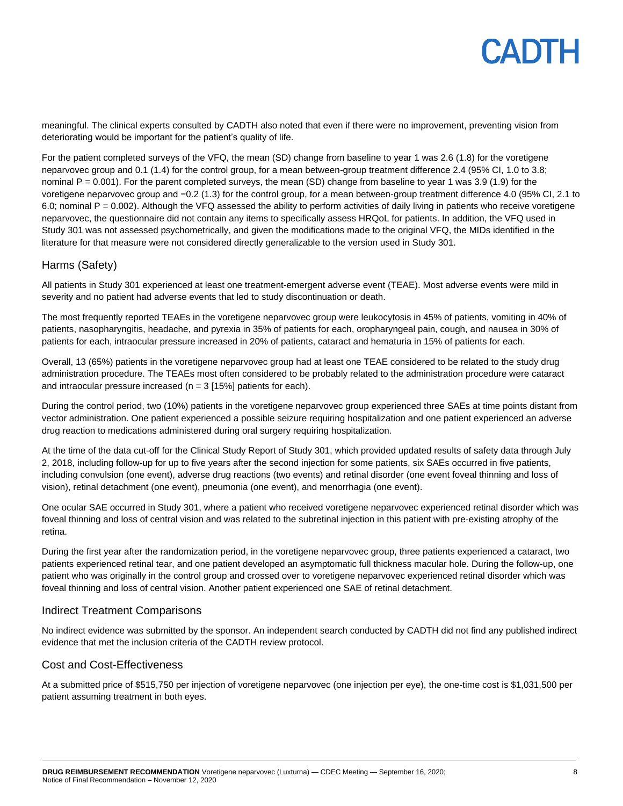meaningful. The clinical experts consulted by CADTH also noted that even if there were no improvement, preventing vision from deteriorating would be important for the patient's quality of life.

For the patient completed surveys of the VFQ, the mean (SD) change from baseline to year 1 was 2.6 (1.8) for the voretigene neparvovec group and 0.1 (1.4) for the control group, for a mean between-group treatment difference 2.4 (95% CI, 1.0 to 3.8; nominal P = 0.001). For the parent completed surveys, the mean (SD) change from baseline to year 1 was 3.9 (1.9) for the voretigene neparvovec group and −0.2 (1.3) for the control group, for a mean between-group treatment difference 4.0 (95% CI, 2.1 to 6.0; nominal  $P = 0.002$ ). Although the VFQ assessed the ability to perform activities of daily living in patients who receive voretigene neparvovec, the questionnaire did not contain any items to specifically assess HRQoL for patients. In addition, the VFQ used in Study 301 was not assessed psychometrically, and given the modifications made to the original VFQ, the MIDs identified in the literature for that measure were not considered directly generalizable to the version used in Study 301.

### Harms (Safety)

All patients in Study 301 experienced at least one treatment-emergent adverse event (TEAE). Most adverse events were mild in severity and no patient had adverse events that led to study discontinuation or death.

The most frequently reported TEAEs in the voretigene neparvovec group were leukocytosis in 45% of patients, vomiting in 40% of patients, nasopharyngitis, headache, and pyrexia in 35% of patients for each, oropharyngeal pain, cough, and nausea in 30% of patients for each, intraocular pressure increased in 20% of patients, cataract and hematuria in 15% of patients for each.

Overall, 13 (65%) patients in the voretigene neparvovec group had at least one TEAE considered to be related to the study drug administration procedure. The TEAEs most often considered to be probably related to the administration procedure were cataract and intraocular pressure increased ( $n = 3$  [15%] patients for each).

During the control period, two (10%) patients in the voretigene neparvovec group experienced three SAEs at time points distant from vector administration. One patient experienced a possible seizure requiring hospitalization and one patient experienced an adverse drug reaction to medications administered during oral surgery requiring hospitalization.

At the time of the data cut-off for the Clinical Study Report of Study 301, which provided updated results of safety data through July 2, 2018, including follow-up for up to five years after the second injection for some patients, six SAEs occurred in five patients, including convulsion (one event), adverse drug reactions (two events) and retinal disorder (one event foveal thinning and loss of vision), retinal detachment (one event), pneumonia (one event), and menorrhagia (one event).

One ocular SAE occurred in Study 301, where a patient who received voretigene neparvovec experienced retinal disorder which was foveal thinning and loss of central vision and was related to the subretinal injection in this patient with pre-existing atrophy of the retina.

During the first year after the randomization period, in the voretigene neparvovec group, three patients experienced a cataract, two patients experienced retinal tear, and one patient developed an asymptomatic full thickness macular hole. During the follow-up, one patient who was originally in the control group and crossed over to voretigene neparvovec experienced retinal disorder which was foveal thinning and loss of central vision. Another patient experienced one SAE of retinal detachment.

#### Indirect Treatment Comparisons

No indirect evidence was submitted by the sponsor. An independent search conducted by CADTH did not find any published indirect evidence that met the inclusion criteria of the CADTH review protocol.

#### Cost and Cost-Effectiveness

At a submitted price of \$515,750 per injection of voretigene neparvovec (one injection per eye), the one-time cost is \$1,031,500 per patient assuming treatment in both eyes.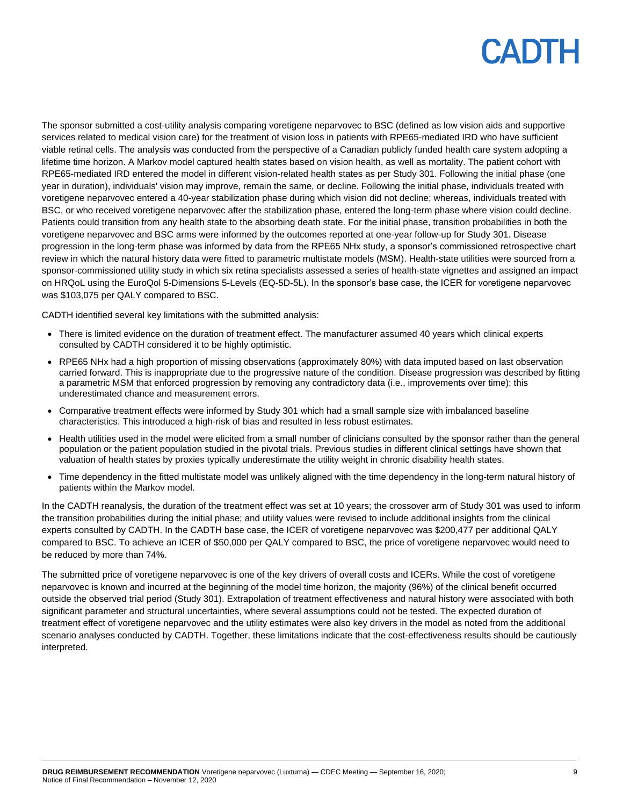The sponsor submitted a cost-utility analysis comparing voretigene neparvovec to BSC (defined as low vision aids and supportive services related to medical vision care) for the treatment of vision loss in patients with RPE65-mediated IRD who have sufficient viable retinal cells. The analysis was conducted from the perspective of a Canadian publicly funded health care system adopting a lifetime time horizon. A Markov model captured health states based on vision health, as well as mortality. The patient cohort with RPE65-mediated IRD entered the model in different vision-related health states as per Study 301. Following the initial phase (one year in duration), individuals' vision may improve, remain the same, or decline. Following the initial phase, individuals treated with voretigene neparvovec entered a 40-year stabilization phase during which vision did not decline; whereas, individuals treated with BSC, or who received voretigene neparvovec after the stabilization phase, entered the long-term phase where vision could decline. Patients could transition from any health state to the absorbing death state. For the initial phase, transition probabilities in both the voretigene neparvovec and BSC arms were informed by the outcomes reported at one-year follow-up for Study 301. Disease progression in the long-term phase was informed by data from the RPE65 NHx study, a sponsor's commissioned retrospective chart review in which the natural history data were fitted to parametric multistate models (MSM). Health-state utilities were sourced from a sponsor-commissioned utility study in which six retina specialists assessed a series of health-state vignettes and assigned an impact on HRQoL using the EuroQol 5-Dimensions 5-Levels (EQ-5D-5L). In the sponsor's base case, the ICER for voretigene neparvovec was \$103,075 per QALY compared to BSC.

CADTH identified several key limitations with the submitted analysis:

- There is limited evidence on the duration of treatment effect. The manufacturer assumed 40 years which clinical experts consulted by CADTH considered it to be highly optimistic.
- RPE65 NHx had a high proportion of missing observations (approximately 80%) with data imputed based on last observation carried forward. This is inappropriate due to the progressive nature of the condition. Disease progression was described by fitting a parametric MSM that enforced progression by removing any contradictory data (i.e., improvements over time); this underestimated chance and measurement errors.
- Comparative treatment effects were informed by Study 301 which had a small sample size with imbalanced baseline characteristics. This introduced a high-risk of bias and resulted in less robust estimates.
- Health utilities used in the model were elicited from a small number of clinicians consulted by the sponsor rather than the general population or the patient population studied in the pivotal trials. Previous studies in different clinical settings have shown that valuation of health states by proxies typically underestimate the utility weight in chronic disability health states.
- Time dependency in the fitted multistate model was unlikely aligned with the time dependency in the long-term natural history of patients within the Markov model.

In the CADTH reanalysis, the duration of the treatment effect was set at 10 years; the crossover arm of Study 301 was used to inform the transition probabilities during the initial phase; and utility values were revised to include additional insights from the clinical experts consulted by CADTH. In the CADTH base case, the ICER of voretigene neparvovec was \$200,477 per additional QALY compared to BSC. To achieve an ICER of \$50,000 per QALY compared to BSC, the price of voretigene neparvovec would need to be reduced by more than 74%.

The submitted price of voretigene neparvovec is one of the key drivers of overall costs and ICERs. While the cost of voretigene neparvovec is known and incurred at the beginning of the model time horizon, the majority (96%) of the clinical benefit occurred outside the observed trial period (Study 301). Extrapolation of treatment effectiveness and natural history were associated with both significant parameter and structural uncertainties, where several assumptions could not be tested. The expected duration of treatment effect of voretigene neparvovec and the utility estimates were also key drivers in the model as noted from the additional scenario analyses conducted by CADTH. Together, these limitations indicate that the cost-effectiveness results should be cautiously interpreted.